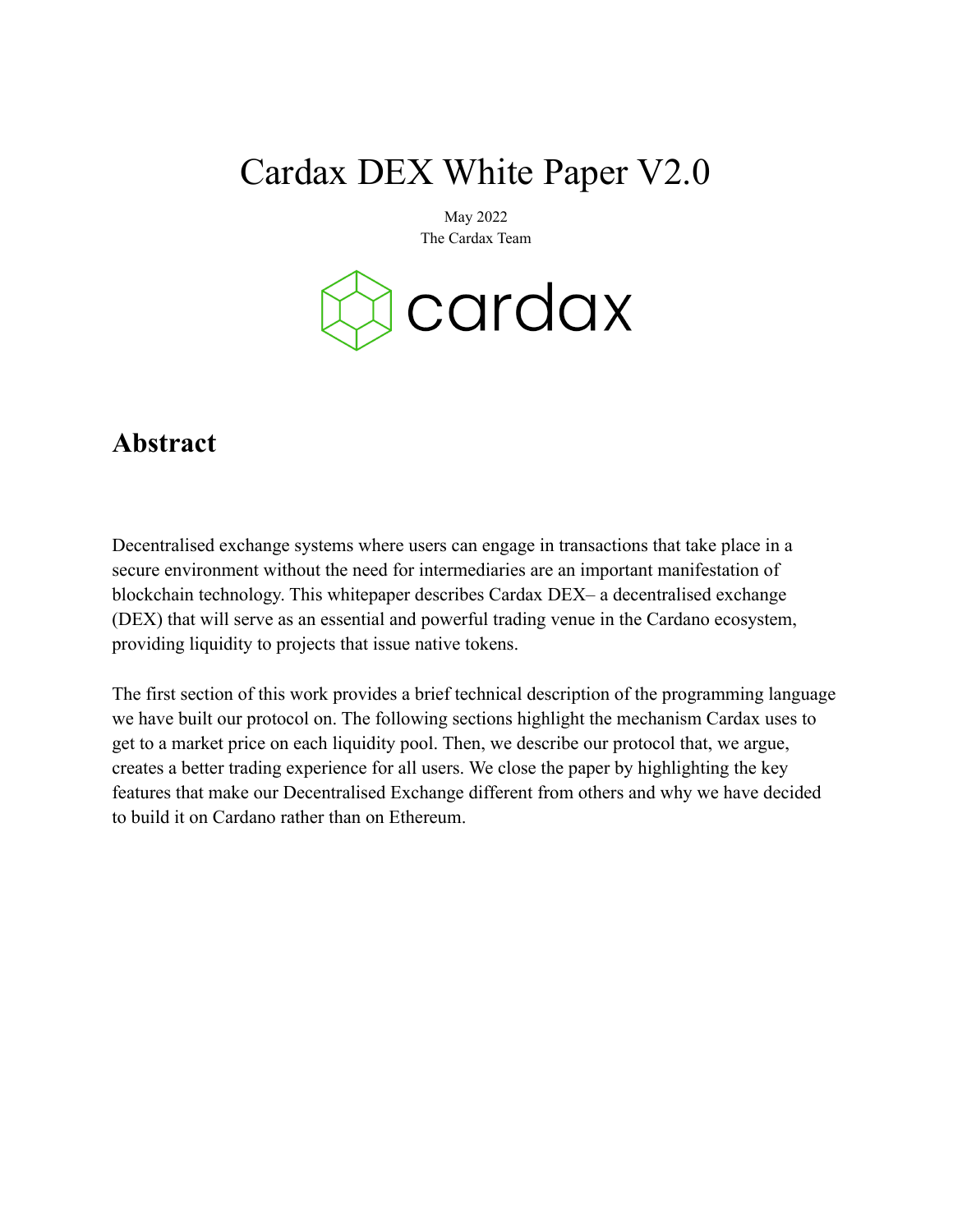# Cardax DEX White Paper V2.0

May 2022 The Cardax Team



### **Abstract**

Decentralised exchange systems where users can engage in transactions that take place in a secure environment without the need for intermediaries are an important manifestation of blockchain technology. This whitepaper describes Cardax DEX– a decentralised exchange (DEX) that will serve as an essential and powerful trading venue in the Cardano ecosystem, providing liquidity to projects that issue native tokens.

The first section of this work provides a brief technical description of the programming language we have built our protocol on. The following sections highlight the mechanism Cardax uses to get to a market price on each liquidity pool. Then, we describe our protocol that, we argue, creates a better trading experience for all users. We close the paper by highlighting the key features that make our Decentralised Exchange different from others and why we have decided to build it on Cardano rather than on Ethereum.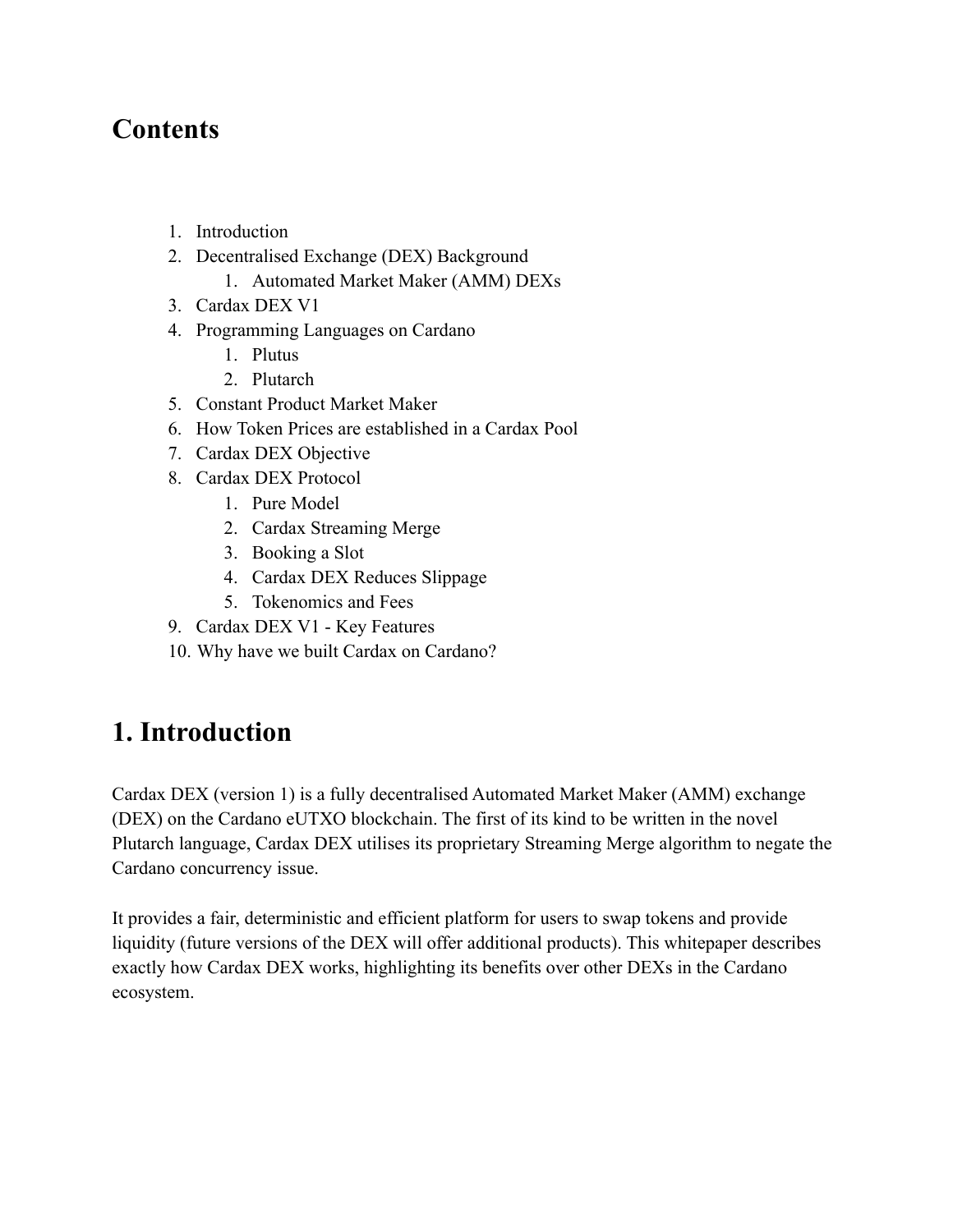### **Contents**

- 1. Introduction
- 2. Decentralised Exchange (DEX) Background
	- 1. Automated Market Maker (AMM) DEXs
- 3. Cardax DEX V1
- 4. Programming Languages on Cardano
	- 1. Plutus
	- 2. Plutarch
- 5. Constant Product Market Maker
- 6. How Token Prices are established in a Cardax Pool
- 7. Cardax DEX Objective
- 8. Cardax DEX Protocol
	- 1. Pure Model
	- 2. Cardax Streaming Merge
	- 3. Booking a Slot
	- 4. Cardax DEX Reduces Slippage
	- 5. Tokenomics and Fees
- 9. Cardax DEX V1 Key Features
- 10. Why have we built Cardax on Cardano?

### **1. Introduction**

Cardax DEX (version 1) is a fully decentralised Automated Market Maker (AMM) exchange (DEX) on the Cardano eUTXO blockchain. The first of its kind to be written in the novel Plutarch language, Cardax DEX utilises its proprietary Streaming Merge algorithm to negate the Cardano concurrency issue.

It provides a fair, deterministic and efficient platform for users to swap tokens and provide liquidity (future versions of the DEX will offer additional products). This whitepaper describes exactly how Cardax DEX works, highlighting its benefits over other DEXs in the Cardano ecosystem.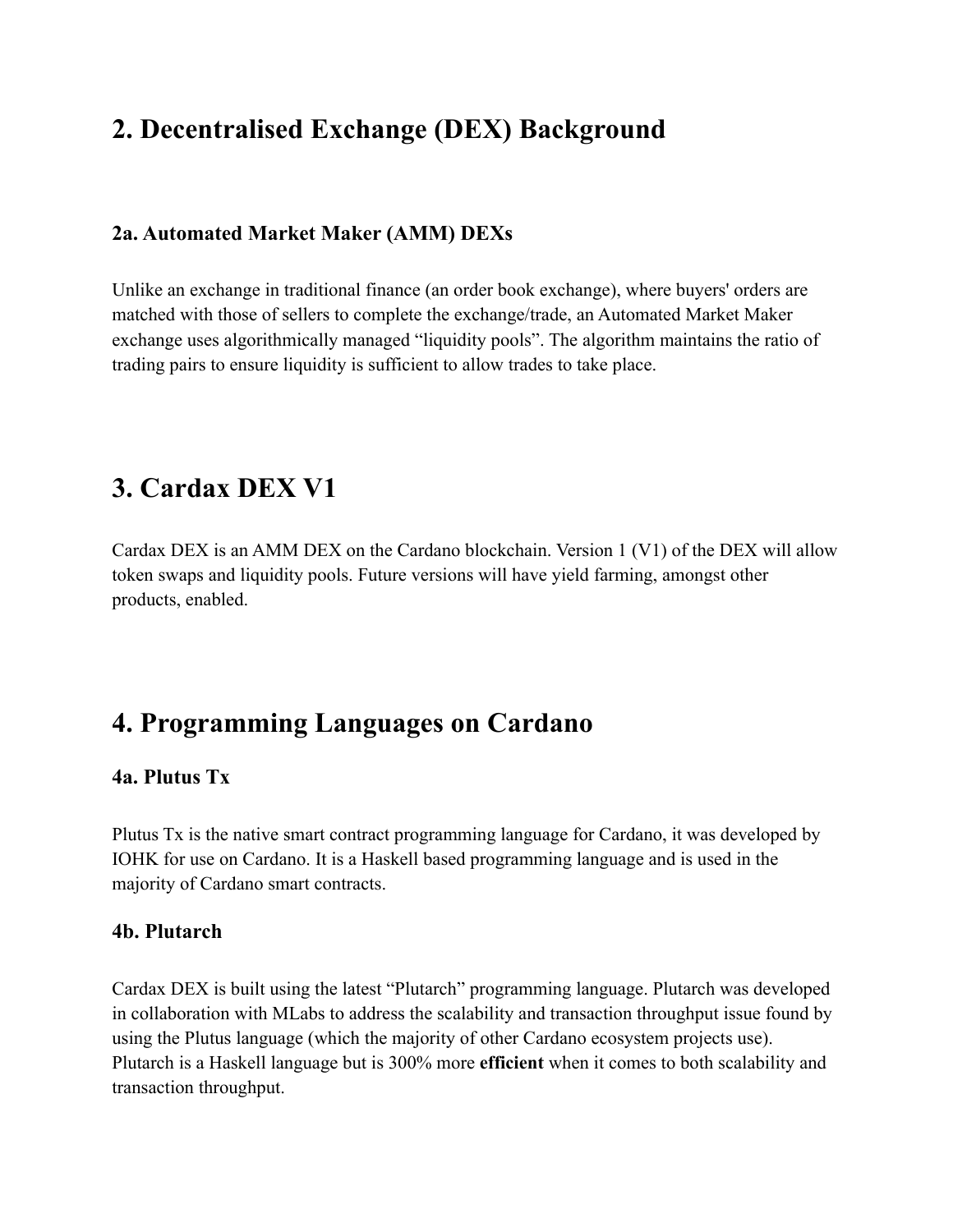# **2. Decentralised Exchange (DEX) Background**

#### **2a. Automated Market Maker (AMM) DEXs**

Unlike an exchange in traditional finance (an order book exchange), where buyers' orders are matched with those of sellers to complete the exchange/trade, an Automated Market Maker exchange uses algorithmically managed "liquidity pools". The algorithm maintains the ratio of trading pairs to ensure liquidity is sufficient to allow trades to take place.

### **3. Cardax DEX V1**

Cardax DEX is an AMM DEX on the Cardano blockchain. Version 1 (V1) of the DEX will allow token swaps and liquidity pools. Future versions will have yield farming, amongst other products, enabled.

### **4. Programming Languages on Cardano**

#### **4a. Plutus Tx**

Plutus Tx is the native smart contract programming language for Cardano, it was developed by IOHK for use on Cardano. It is a Haskell based programming language and is used in the majority of Cardano smart contracts.

#### **4b. Plutarch**

Cardax DEX is built using the latest "Plutarch" programming language. Plutarch was developed in collaboration with MLabs to address the scalability and transaction throughput issue found by using the Plutus language (which the majority of other Cardano ecosystem projects use). Plutarch is a Haskell language but is 300% more **efficient** when it comes to both scalability and transaction throughput.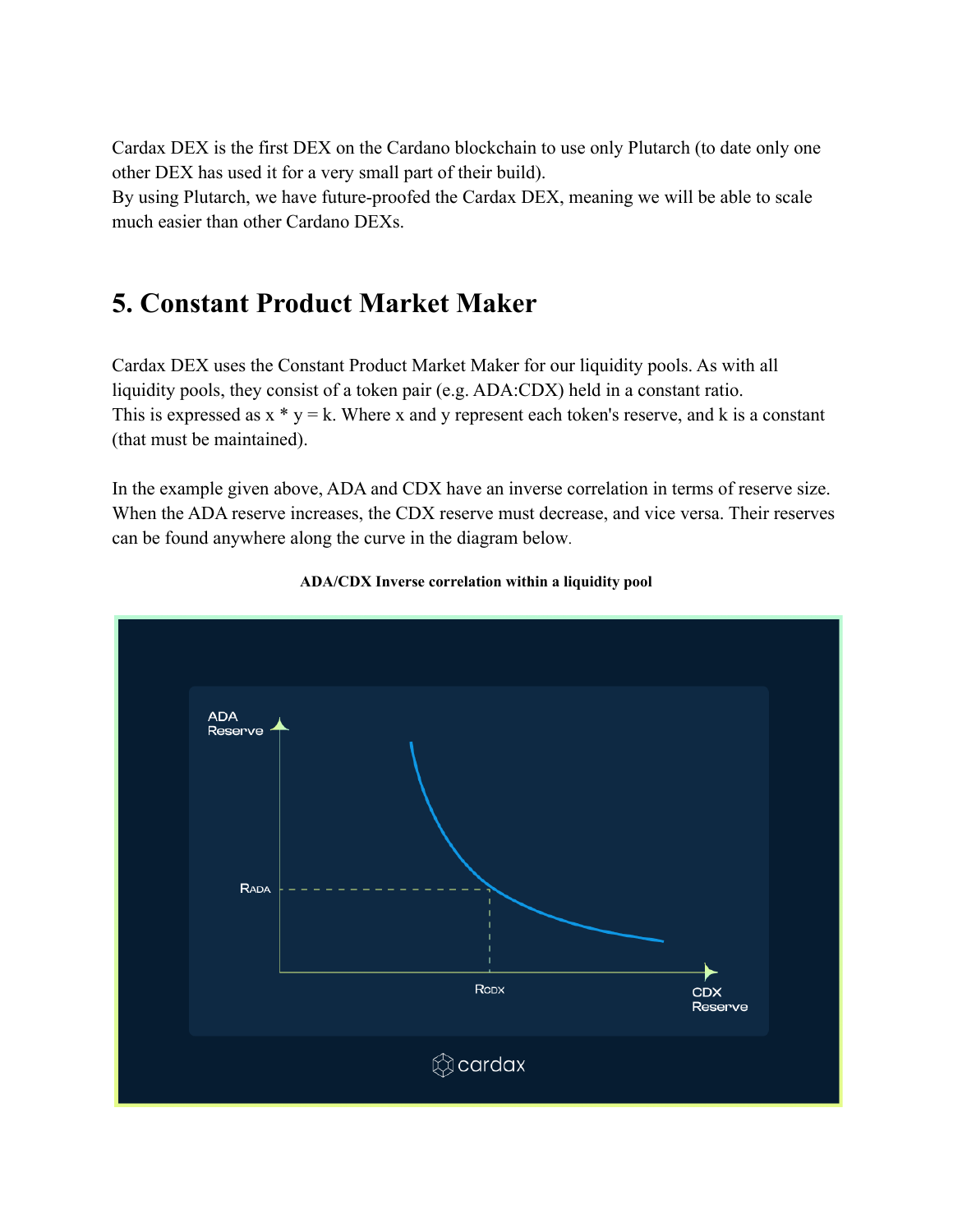Cardax DEX is the first DEX on the Cardano blockchain to use only Plutarch (to date only one other DEX has used it for a very small part of their build).

By using Plutarch, we have future-proofed the Cardax DEX, meaning we will be able to scale much easier than other Cardano DEXs.

### **5. Constant Product Market Maker**

Cardax DEX uses the Constant Product Market Maker for our liquidity pools. As with all liquidity pools, they consist of a token pair (e.g. ADA:CDX) held in a constant ratio. This is expressed as  $x * y = k$ . Where x and y represent each token's reserve, and k is a constant (that must be maintained).

In the example given above, ADA and CDX have an inverse correlation in terms of reserve size. When the ADA reserve increases, the CDX reserve must decrease, and vice versa. Their reserves can be found anywhere along the curve in the diagram below.



#### **ADA/CDX Inverse correlation within a liquidity pool**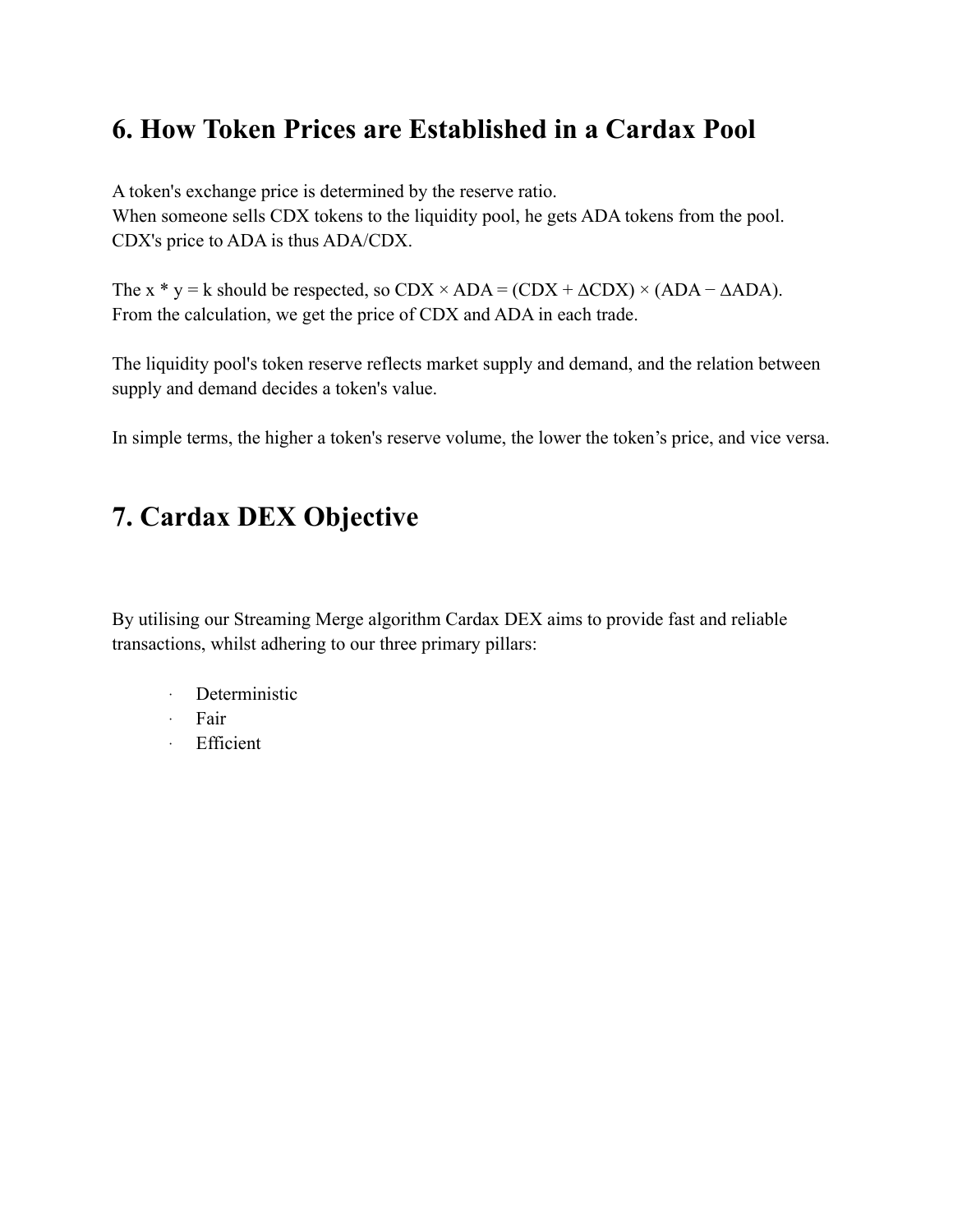# **6. How Token Prices are Established in a Cardax Pool**

A token's exchange price is determined by the reserve ratio. When someone sells CDX tokens to the liquidity pool, he gets ADA tokens from the pool. CDX's price to ADA is thus ADA/CDX.

The x \* y = k should be respected, so  $CDX \times ADA = (CDX + \Delta CDX) \times (ADA - \Delta ADA)$ . From the calculation, we get the price of CDX and ADA in each trade.

The liquidity pool's token reserve reflects market supply and demand, and the relation between supply and demand decides a token's value.

In simple terms, the higher a token's reserve volume, the lower the token's price, and vice versa.

# **7. Cardax DEX Objective**

By utilising our Streaming Merge algorithm Cardax DEX aims to provide fast and reliable transactions, whilst adhering to our three primary pillars:

- · Deterministic
- · Fair
- · Efficient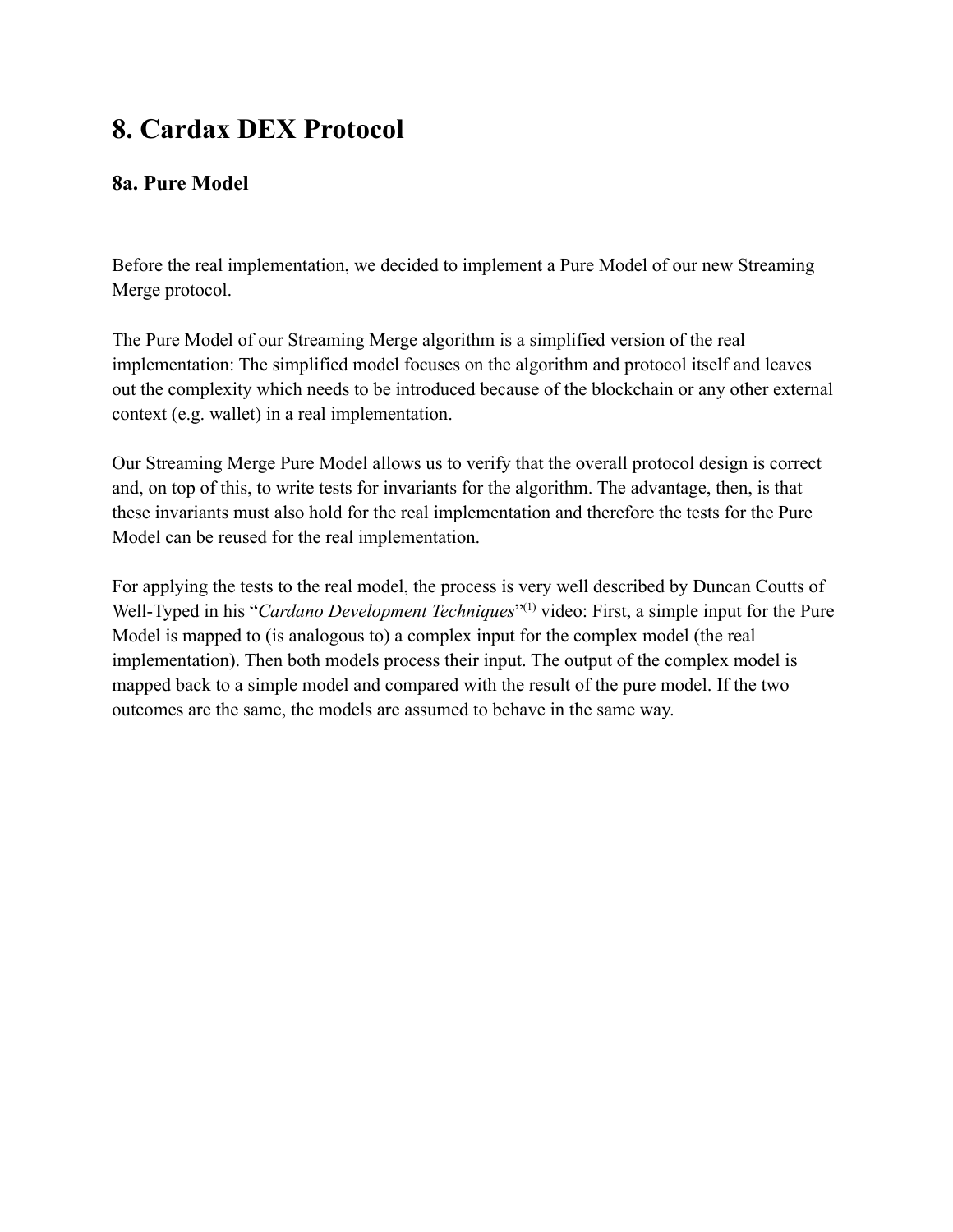# **8. Cardax DEX Protocol**

### **8a. Pure Model**

Before the real implementation, we decided to implement a Pure Model of our new Streaming Merge protocol.

The Pure Model of our Streaming Merge algorithm is a simplified version of the real implementation: The simplified model focuses on the algorithm and protocol itself and leaves out the complexity which needs to be introduced because of the blockchain or any other external context (e.g. wallet) in a real implementation.

Our Streaming Merge Pure Model allows us to verify that the overall protocol design is correct and, on top of this, to write tests for invariants for the algorithm. The advantage, then, is that these invariants must also hold for the real implementation and therefore the tests for the Pure Model can be reused for the real implementation.

For applying the tests to the real model, the process is very well described by Duncan Coutts of Well-Typed in his "*Cardano Development Techniques*"<sup>(1)</sup> video: First, a simple input for the Pure Model is mapped to (is analogous to) a complex input for the complex model (the real implementation). Then both models process their input. The output of the complex model is mapped back to a simple model and compared with the result of the pure model. If the two outcomes are the same, the models are assumed to behave in the same way.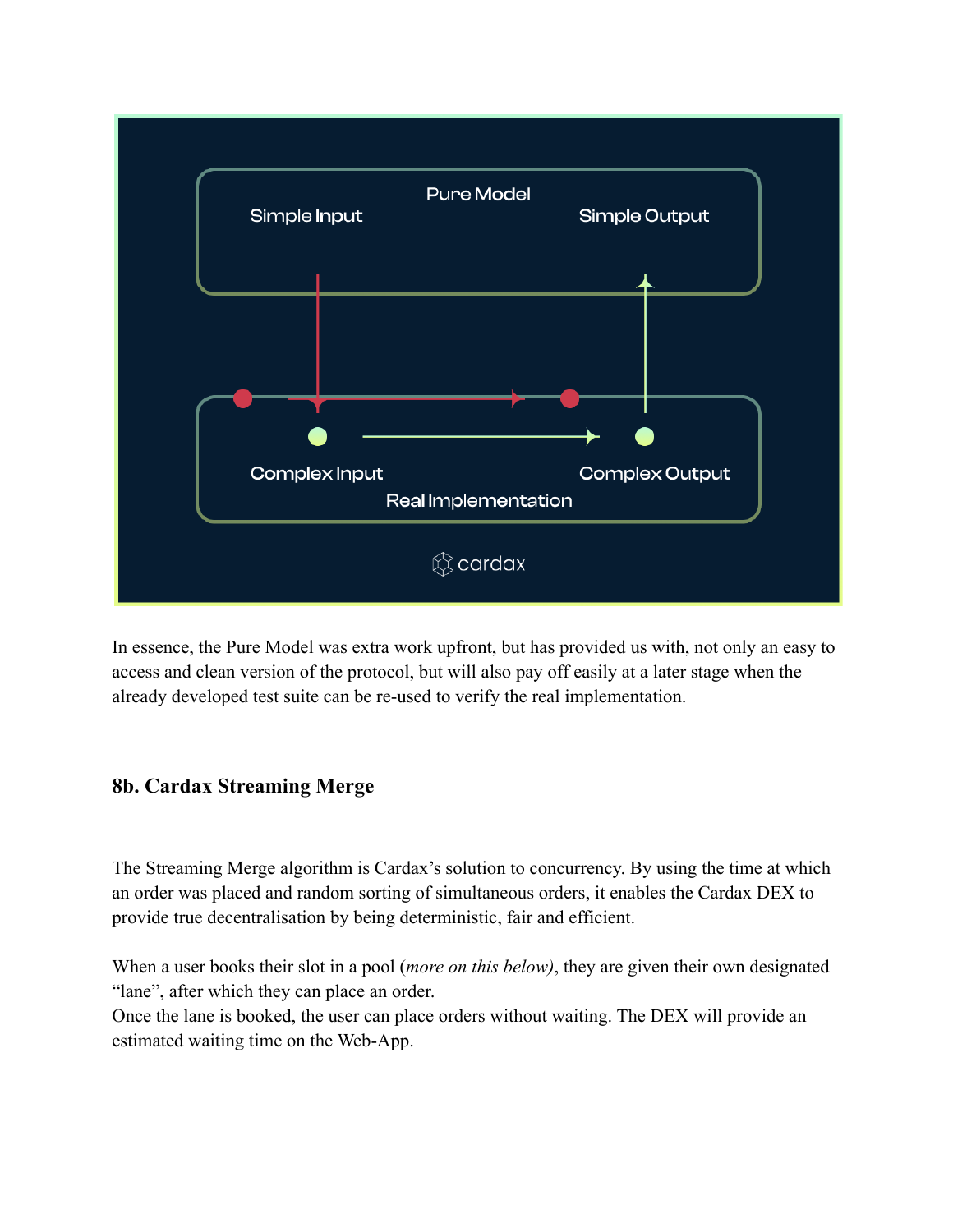

In essence, the Pure Model was extra work upfront, but has provided us with, not only an easy to access and clean version of the protocol, but will also pay off easily at a later stage when the already developed test suite can be re-used to verify the real implementation.

### **8b. Cardax Streaming Merge**

The Streaming Merge algorithm is Cardax's solution to concurrency. By using the time at which an order was placed and random sorting of simultaneous orders, it enables the Cardax DEX to provide true decentralisation by being deterministic, fair and efficient.

When a user books their slot in a pool (*more on this below)*, they are given their own designated "lane", after which they can place an order.

Once the lane is booked, the user can place orders without waiting. The DEX will provide an estimated waiting time on the Web-App.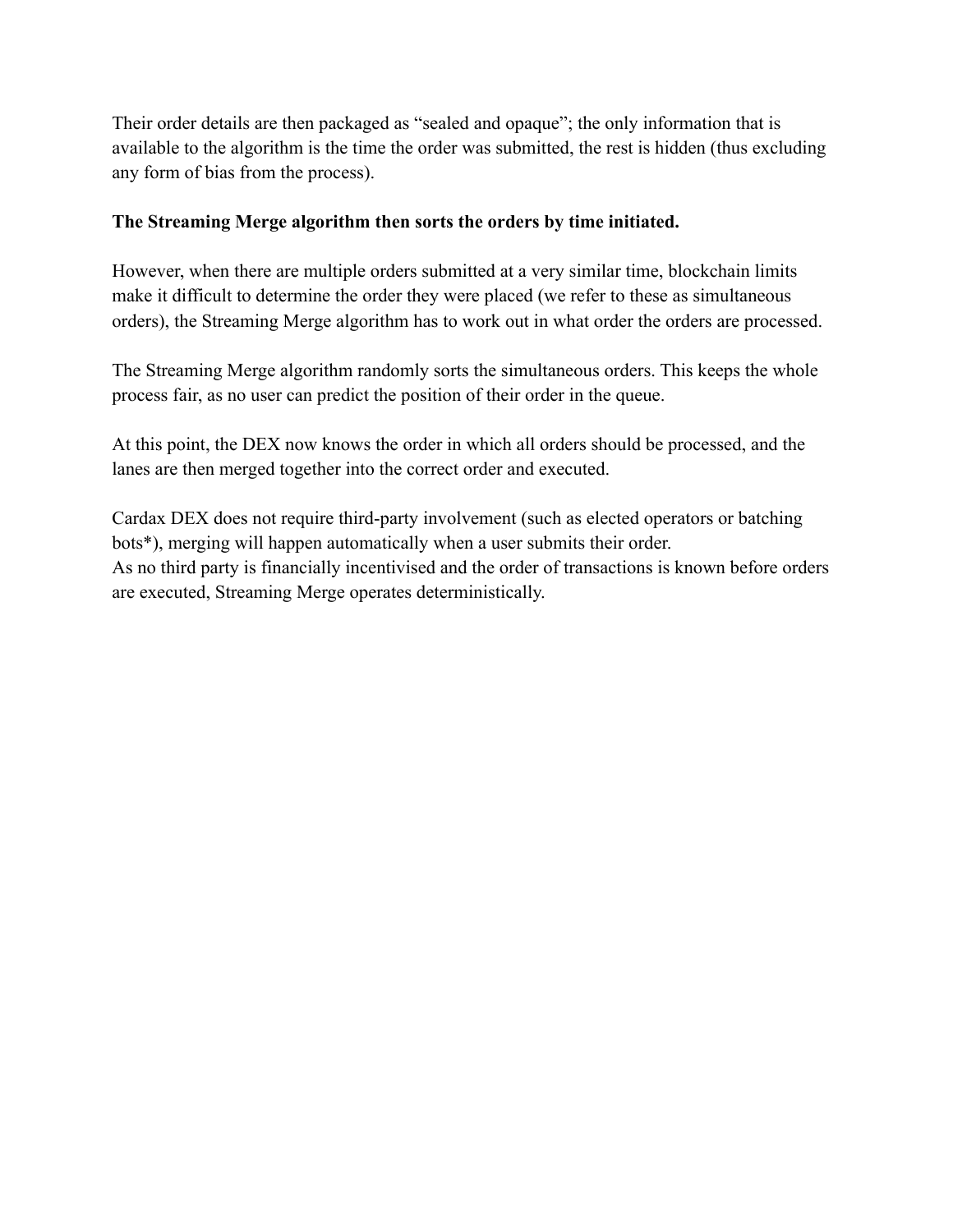Their order details are then packaged as "sealed and opaque"; the only information that is available to the algorithm is the time the order was submitted, the rest is hidden (thus excluding any form of bias from the process).

#### **The Streaming Merge algorithm then sorts the orders by time initiated.**

However, when there are multiple orders submitted at a very similar time, blockchain limits make it difficult to determine the order they were placed (we refer to these as simultaneous orders), the Streaming Merge algorithm has to work out in what order the orders are processed.

The Streaming Merge algorithm randomly sorts the simultaneous orders. This keeps the whole process fair, as no user can predict the position of their order in the queue.

At this point, the DEX now knows the order in which all orders should be processed, and the lanes are then merged together into the correct order and executed.

Cardax DEX does not require third-party involvement (such as elected operators or batching bots\*), merging will happen automatically when a user submits their order. As no third party is financially incentivised and the order of transactions is known before orders are executed, Streaming Merge operates deterministically.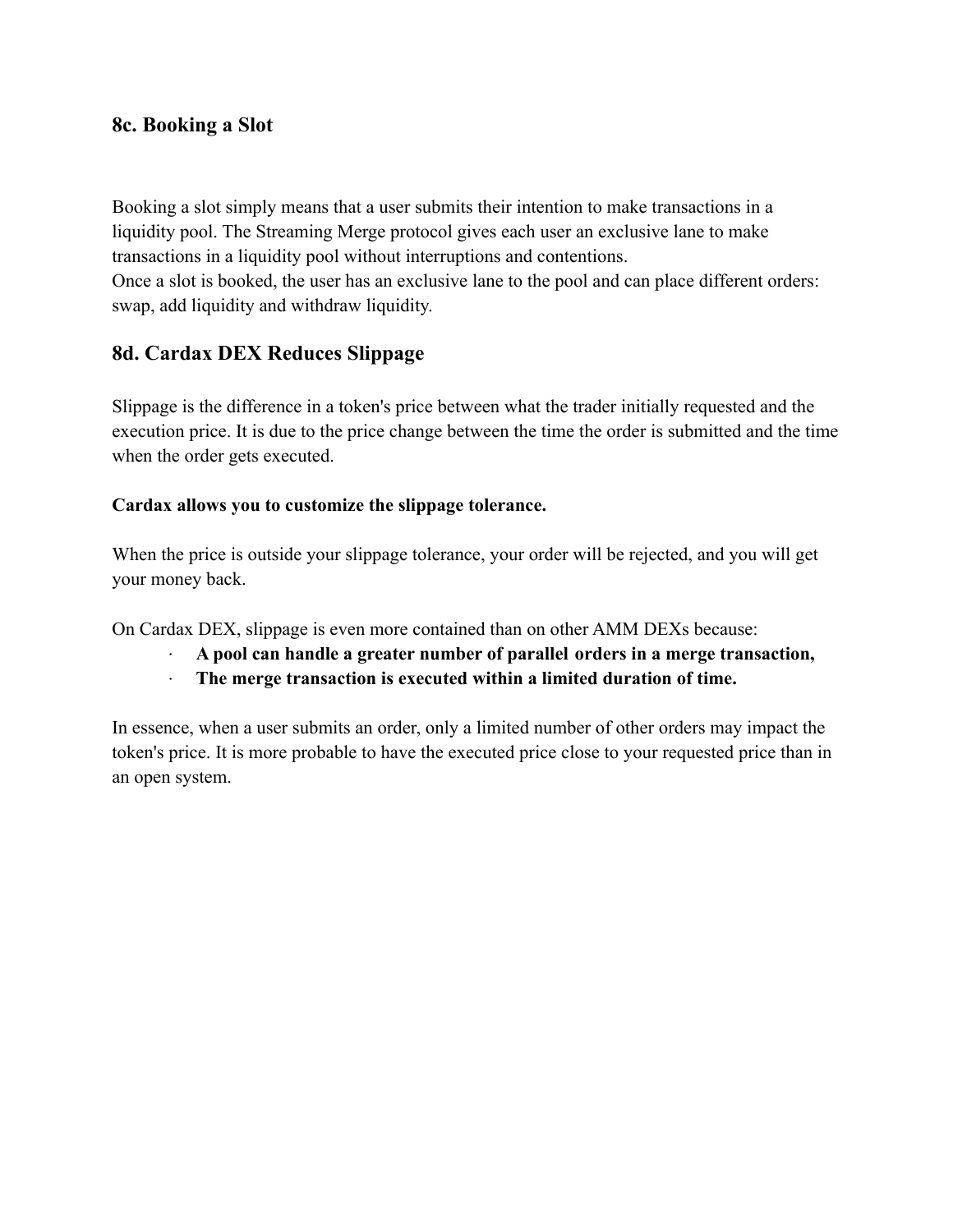#### **8c. Booking a Slot**

Booking a slot simply means that a user submits their intention to make transactions in a liquidity pool. The Streaming Merge protocol gives each user an exclusive lane to make transactions in a liquidity pool without interruptions and contentions. Once a slot is booked, the user has an exclusive lane to the pool and can place different orders: swap, add liquidity and withdraw liquidity.

#### **8d. Cardax DEX Reduces Slippage**

Slippage is the difference in a token's price between what the trader initially requested and the execution price. It is due to the price change between the time the order is submitted and the time when the order gets executed.

#### **Cardax allows you to customize the slippage tolerance.**

When the price is outside your slippage tolerance, your order will be rejected, and you will get your money back.

On Cardax DEX, slippage is even more contained than on other AMM DEXs because:

- **· A pool can handle a greater number of parallel orders in a merge transaction,**
- **· The merge transaction is executed within a limited duration of time.**

In essence, when a user submits an order, only a limited number of other orders may impact the token's price. It is more probable to have the executed price close to your requested price than in an open system.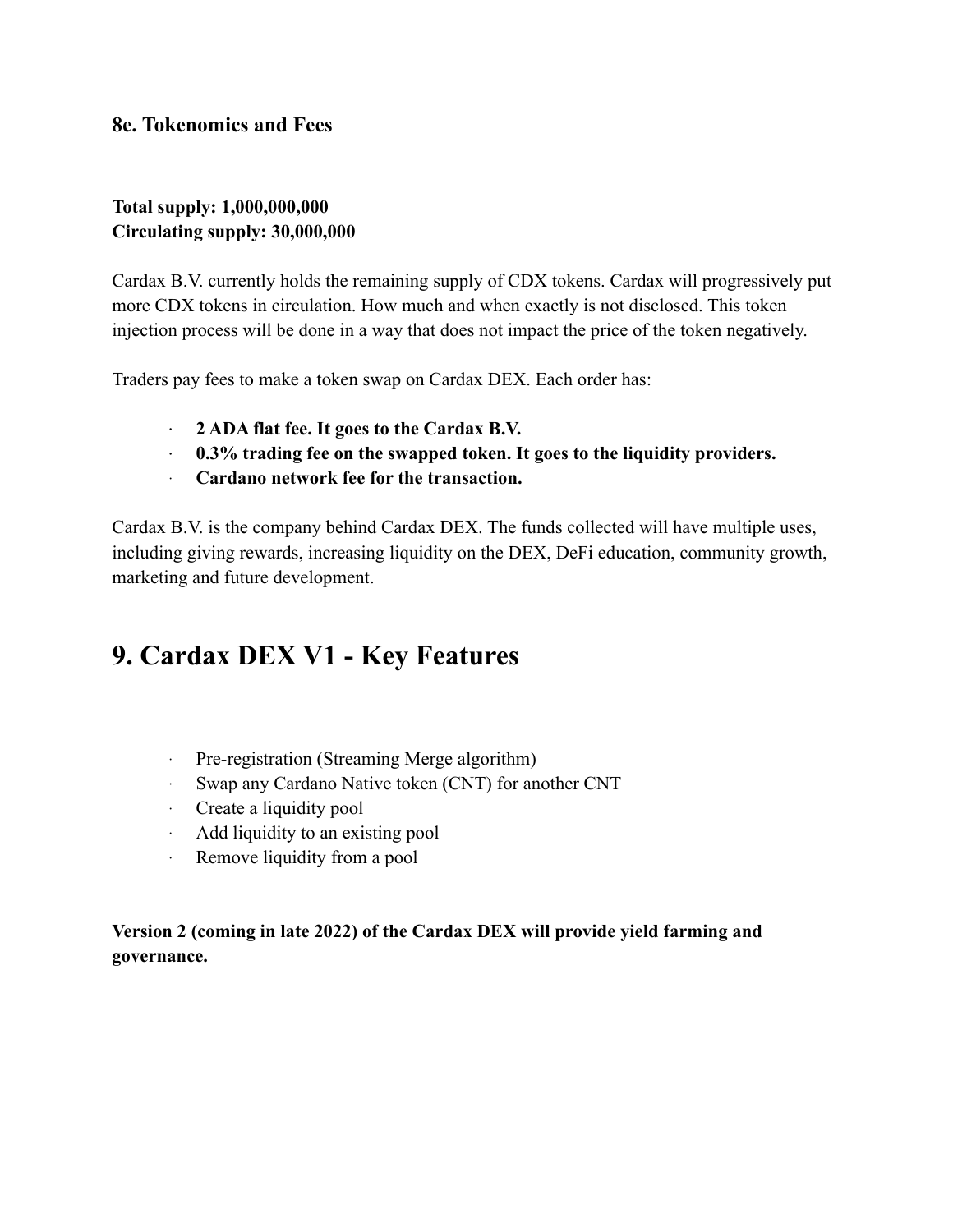#### **8e. Tokenomics and Fees**

#### **Total supply: 1,000,000,000 Circulating supply: 30,000,000**

Cardax B.V. currently holds the remaining supply of CDX tokens. Cardax will progressively put more CDX tokens in circulation. How much and when exactly is not disclosed. This token injection process will be done in a way that does not impact the price of the token negatively.

Traders pay fees to make a token swap on Cardax DEX. Each order has:

- **· 2 ADA flat fee. It goes to the Cardax B.V.**
- **· 0.3% trading fee on the swapped token. It goes to the liquidity providers.**
- · **Cardano network fee for the transaction.**

Cardax B.V. is the company behind Cardax DEX. The funds collected will have multiple uses, including giving rewards, increasing liquidity on the DEX, DeFi education, community growth, marketing and future development.

### **9. Cardax DEX V1 - Key Features**

- · Pre-registration (Streaming Merge algorithm)
- · Swap any Cardano Native token (CNT) for another CNT
- · Create a liquidity pool
- · Add liquidity to an existing pool
- · Remove liquidity from a pool

#### **Version 2 (coming in late 2022) of the Cardax DEX will provide yield farming and governance.**